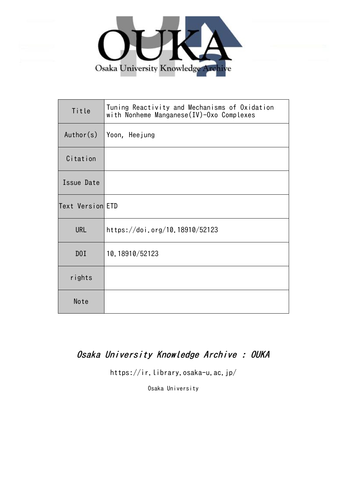

| Title            | Tuning Reactivity and Mechanisms of Oxidation<br>with Nonheme Manganese(IV)-Oxo Complexes |
|------------------|-------------------------------------------------------------------------------------------|
| Author(s)        | Yoon, Heejung                                                                             |
| Citation         |                                                                                           |
| Issue Date       |                                                                                           |
| Text Version ETD |                                                                                           |
| <b>URL</b>       | https://doi.org/10.18910/52123                                                            |
| DOI              | 10.18910/52123                                                                            |
| rights           |                                                                                           |
| Note             |                                                                                           |

## Osaka University Knowledge Archive : OUKA

https://ir.library.osaka-u.ac.jp/

Osaka University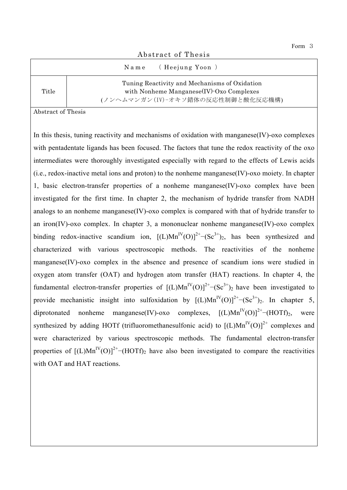| Abstract of Thesis |                                                                                                                                |  |  |  |  |  |  |
|--------------------|--------------------------------------------------------------------------------------------------------------------------------|--|--|--|--|--|--|
|                    | Name (Heejung Yoon)                                                                                                            |  |  |  |  |  |  |
| Title              | Tuning Reactivity and Mechanisms of Oxidation<br>with Nonheme Manganese(IV) Oxo Complexes<br>(ノンへムマンガン(IV)-オキソ錯体の反応性制御と酸化反応機構) |  |  |  |  |  |  |

Abstract of Thesis

In this thesis, tuning reactivity and mechanisms of oxidation with manganese(IV)-oxo complexes with pentadentate ligands has been focused. The factors that tune the redox reactivity of the oxo intermediates were thoroughly investigated especially with regard to the effects of Lewis acids (i.e., redox-inactive metal ions and proton) to the nonheme manganese(IV)-oxo moiety. In chapter 1, basic electron-transfer properties of a nonheme manganese(IV)-oxo complex have been investigated for the first time. In chapter 2, the mechanism of hydride transfer from NADH analogs to an nonheme manganese(IV)-oxo complex is compared with that of hydride transfer to an iron(IV)-oxo complex. In chapter 3, a mononuclear nonheme manganese(IV)-oxo complex binding redox-inactive scandium ion,  $[(L)Mn^{IV}(O)]^{2+}-(Sc^{3+})_2$ , has been synthesized and characterized with various spectroscopic methods. The reactivities of the nonheme manganese(IV)-oxo complex in the absence and presence of scandium ions were studied in oxygen atom transfer (OAT) and hydrogen atom transfer (HAT) reactions. In chapter 4, the fundamental electron-transfer properties of  $[(L)Mn^{IV}(O)]^{2+}-(Sc^{3+})_2$  have been investigated to provide mechanistic insight into sulfoxidation by  $[(L)Mn^{IV}(O)]^{2+}-(Sc^{3+})_{2}$ . In chapter 5, diprotonated nonheme manganese(IV)-oxo complexes,  $[(L)Mn^{IV}(O)]^{2+}-(HOTf)_{2}$ , were synthesized by adding HOTf (trifluoromethanesulfonic acid) to  $[(L)Mn^{IV}(O)]^{2+}$  complexes and were characterized by various spectroscopic methods. The fundamental electron-transfer properties of  $[(L)Mn^{IV}(O)]^{2+}-(HOTf)_2$  have also been investigated to compare the reactivities with OAT and HAT reactions.